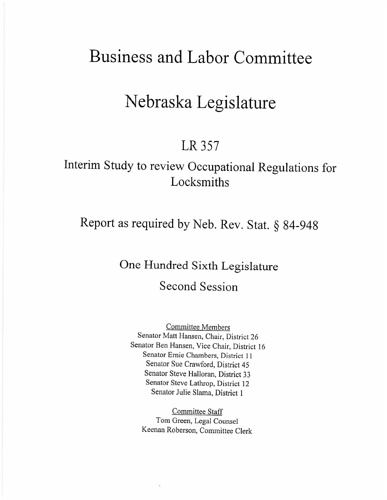# **Business and Labor Committee**

# **Nebraska Legislature**

## **LR357**

## **Interim Study to review Occupational Regulations for Locksmiths**

**Report as required by Neb. Rev. Stat. § 84-948**

**One Hundred Sixth Legislature Second Session**

Committee Members Senator Matt Hansen, Chair, District 26 Senator Ben Hansen, Vice Chair, District 16 Senator Ernie Chambers, District **II** Senator Sue Crawford, District 45 Senator Steve Halloran, District 33 Senator Steve Lathrop, District 12 Senator Julie Slama, District 1

Committee Staff Tom Green, Legal Counsel Keenan Roberson, Committee Clerk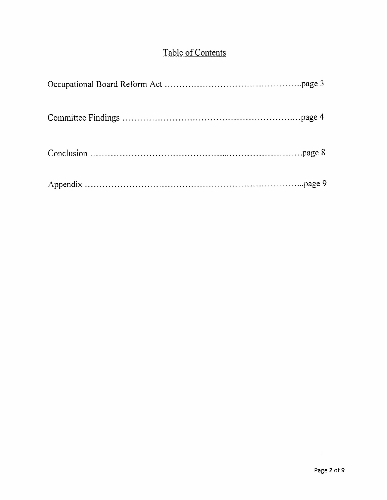## Table of Contents

 $\sim 10^{-10}$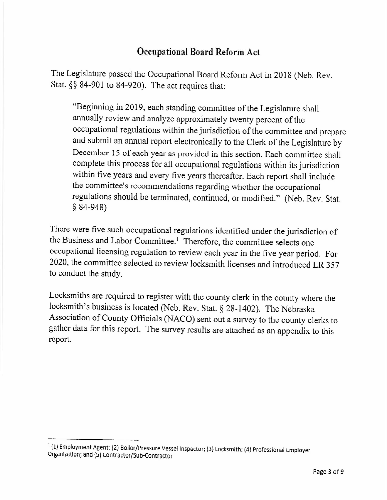## **Occupational Board Reform Act**

The Legislature passed the Occupational Board Reform Act in 2018 (Neb. Rev. Stat. §§ 84-901 to 84-920). The act requires that:

"Beginning in 2019, each standing committee of the Legislature shall annually review and analyze approximately twenty percent of the occupational regulations within the jurisdiction of the committee and prepare and submit an annual report electronically to the Clerk of the Legislature by December 15 of each year as provided in this section. Each committee shall complete this process for all occupational regulations within its jurisdiction within five years and every five years thereafter. Each report shall include the committee's recommendations regarding whether the occupational regulations should be terminated, continued, or modified." (Neb. Rev. Stat. § 84-948)

There were five such occupational regulations identified under the jurisdiction of the Business and Labor Committee.<sup>1</sup> Therefore, the committee selects one occupational licensing regulation to review each year in the five year period. For 2020, the committee selected to review locksmith licenses and introduced LR 357 to conduct the study.

Locksmiths are required to register with the county clerk in the county where the locksmith's business is located (Neb. Rev. Stat. § 28-1402). The Nebraska Association of County Officials (NACO) sent out a survey to the county clerks to gather data for this report. The survey results are attached as an appendix to this report.

<sup>1</sup> (1) Employment Agent; (2) Boiler/Pressure Vessel Inspector; (3) Locksmith; (4) Professional Employer Organizationj and (5) Contractor/Sub-Contractor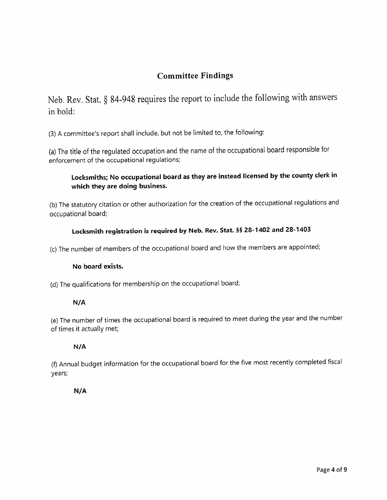### **Committee Findings**

Neb. Rev. Stat. § 84-948 requires the report to include the following with answers in bold:

(3) A committee's report shall include, but not be limited to, the following:

(a) The title of the regulated occupation and the name of the occupational board responsible for enforcement of the occupational regulations;

### **Locksmiths; No occupational board as they are instead licensed by the county clerk in which they are doing business.**

(b) The statutory citation or other authorization for the creation of the occupational regulations and occupational board;

### **Locksmith registration is required by Neb. Rev. Stat. §§ 28-1402 and 28-1403**

(c) The number of members of the occupational board and how the members are appointed;

#### **No board exists.**

(d) The qualifications for membership on the occupational board;

#### **N/A**

(e) The number of times the occupational board is required to meet during the year and the number of times it actually met;

#### **N/A**

(f) Annual budget information for the occupational board for the *five* most recently completed fiscal years;

#### **N/A**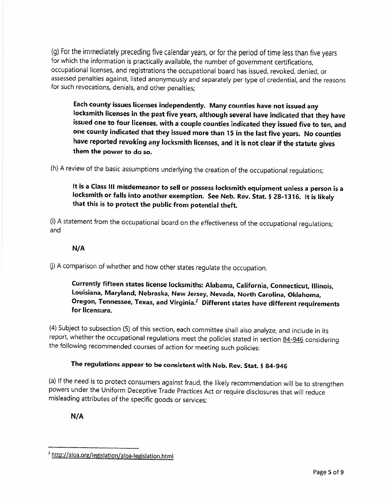(g) For the immediately preceding five calendar years, or for the period of time less than five years for which the information is practically available, the number of government certifications, occupational licenses, and registrations the occupational board has issued, revoked, denied, or assessed penalties against, listed anonymously and separately per type of credential, and the reasons for such revocations, denials, and other penalties;

**Each county issues licenses independently. Many counties have not issued any locksmith licenses in the past five years, although several have indicated that they have issued one to four licenses, with a couple counties indicated they issued five to ten, and one county indicated that they issued more than 15 in the last five years. No counties have reported revoking any locksmith licenses, and it is not clear if the statute gives them the power to do so.**

(h) A review of the basic assumptions underlying the creation of the occupational regulations;

**It is a Class III misdemeanor to sell or possess locksmith equipment unless a person is a locksmith or falls into another exemption. See Neb. Rev. Stat. § 28-1316. It is likely that this is to protect the public from potential theft.**

(i) A statement from the occupational board on the effectiveness of the occupational regulations; and

#### **N/A**

(j) A comparison of whether and how other states regulate the occupation.

**Currently fifteen states license locksmiths: Alabama, California, Connecticut. Illinois, Louisiana, Maryland, Nebraska, New Jersey, Nevada, North Carolina, Oklahoma, Oregon, Tennessee, Texas, and Virginia.<sup>2</sup> Different states have different requirements for licensure.**

(4) Subject to subsection (5) of this section, each committee shall also analyze, and include in its report, whether the occupational regulations meet the policies stated in section 84-946 considering the following recommended courses of action for meeting such policies:

#### **The regulations appear to be consistent with Neb. Rev. Stat. § 84-946**

(a) If the need is to protect consumers against fraud, the likely recommendation will be to strengthen powers under the Uniform Deceptive Trade Practices Act or require disclosures that will reduce misleading attributes of the specific goods or services;

**N/A**

<sup>&</sup>lt;sup>2</sup> http://aloa.org/legislation/aloa-legislation.html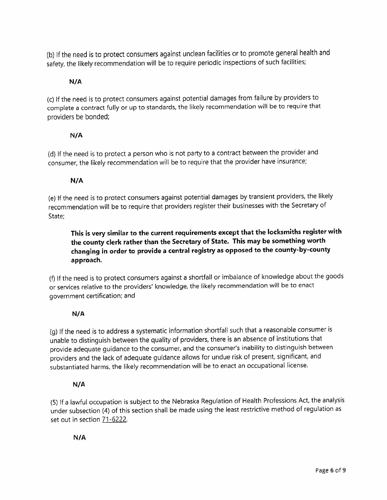(b) If the need is to protect consumers against unclean facilities or to promote general health and safety, the likely recommendation will be to require periodic inspections of such facilities;

#### **N/A**

(c) If the need is to protect consumers against potential damages from failure by providers to complete a contract fully or up to standards, the likely recommendation will be to require that providers be bonded;

#### **N/A**

(d) If the need is to protect a person who is not party to a contract between the provider and consumer, the likely recommendation will be to require that the provider have insurance;

#### **N/A**

(e) If the need is to protect consumers against potential damages by transient providers, the likely recommendation will be to require that providers register their businesses with the Secretary of State;

**This is very similar to the current requirements except that the locksmiths register with the county clerk rather than the Secretary of State. This may be something worth changing in order to provide a central registry as opposed to the county-by-county approach.**

(f) If the need is to protect consumers against a shortfall or imbalance of knowledge about the goods or services relative to the providers' knowledge, the likely recommendation will be to enact government certification; and

#### **N/A**

(g) If the need is to address a systematic information shortfall such that a reasonable consumer is unable to distinguish between the quality of providers, there is an absence of institutions that provide adequate guidance to the consumer, and the consumer's inability to distinguish between providers and the lack of adequate guidance allows for undue risk of present, significant, and substantiated harms, the likely recommendation will be to enact an occupational license.

#### **N/A**

(5) If a lawful occupation is subject to the Nebraska Regulation of Health Professions Act, the analysis under subsection (4) of this section shall be made using the least restrictive method of regulation as set out in section 71-6222.

#### **N/A**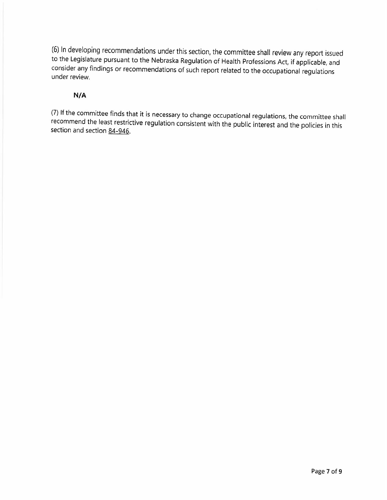(6) In developing recommendations under this section, the committee shall review any report issued to the Legislature pursuant to the Nebraska Regulation of Health Professions Act, if applicable, and consider any findings or recommendations of such report related to the occupational regulations under review.

#### **N/A**

(7) If the committee finds that it is necessary to change occupational regulations, the committee shall recommend the least restrictive regulation consistent with the public interest and the policies in this section and section 84-946.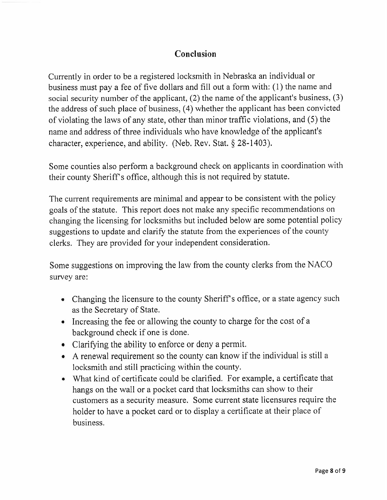## **Conclusion**

Currently in order to be a registered locksmith in Nebraska an individual or business must pay a fee of five dollars and fill out a form with: (1) the name and social security number of the applicant, (2) the name of the applicant's business, (3) the address of such place of business, (4) whether the applicant has been convicted of violating the laws of any state, other than minor traffic violations, and (5) the name and address of three individuals who have knowledge of the applicant's character, experience, and ability. (Neb. Rev. Stat. § 28-1403).

Some counties also perform a background check on applicants in coordination with their county Sheriff's office, although this is not required by statute.

The current requirements are minimal and appear to be consistent with the policy goals of the statute. This report does not make any specific recommendations on changing the licensing for locksmiths but included below are some potential policy suggestions to update and clarify the statute from the experiences of the county clerks. They are provided for your independent consideration.

Some suggestions on improving the law from the county clerks from the NACO survey are:

- Changing the licensure to the county Sheriff's office, or a state agency such as the Secretary of State.
- Increasing the fee or allowing the county to charge for the cost of a background check if one is done.
- Clarifying the ability to enforce or deny a permit.
- A renewal requirement so the county can know if the individual is still a locksmith and still practicing within the county.
- What kind of certificate could be clarified. For example, a certificate that hangs on the wall or a pocket card that locksmiths can show to their customers as a security measure. Some current state licensures require the holder to have a pocket card or to display a certificate at their place of business.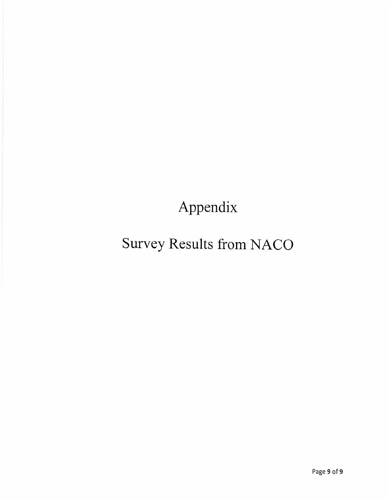**Appendix**

# **Survey Results from NACO**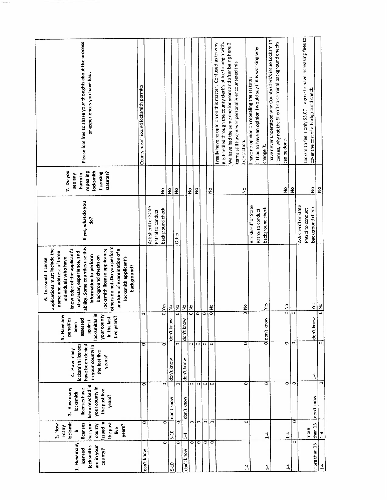|                                                                                                                                                                                                                                                                                  | County hasn't issued locksmith permits | Ask sheriff or State | Patrol to conduct | $\frac{\mathsf{o}}{\mathsf{o}}$<br>background check | $\frac{1}{2}$ | $\frac{1}{2}$             |            | $\frac{9}{2}$      |                    |         | $\frac{9}{2}$ | it is handled through the county clerk's office to begin with.<br>I really have no opinion on this matter. Confused as to why | We have had the same one for years and after being here 2 | terms still have never personally encountered this | transaction.<br>$\frac{1}{2}$ | I have no opinion on repealing the statutes.<br>Ask sheriff or State | If I had to have an opinion I would say if it is working why<br>Patrol to conduct | change it.<br>background check | I have never understood why County Clerk's issue Locksmith<br>licenses, why not the Sheriff so criminal background checks | can be done.<br>$\frac{\mathsf{o}}{\mathsf{z}}$ |                      | $\frac{1}{2}$ | Ask sheriff or State | Locksmith fee is only \$5.00. I agree to have increasing fees to<br>cover the cost of a background check.<br>Patrol to conduct | $\frac{1}{2}$<br>ş<br>background check |                       |
|----------------------------------------------------------------------------------------------------------------------------------------------------------------------------------------------------------------------------------------------------------------------------------|----------------------------------------|----------------------|-------------------|-----------------------------------------------------|---------------|---------------------------|------------|--------------------|--------------------|---------|---------------|-------------------------------------------------------------------------------------------------------------------------------|-----------------------------------------------------------|----------------------------------------------------|-------------------------------|----------------------------------------------------------------------|-----------------------------------------------------------------------------------|--------------------------------|---------------------------------------------------------------------------------------------------------------------------|-------------------------------------------------|----------------------|---------------|----------------------|--------------------------------------------------------------------------------------------------------------------------------|----------------------------------------|-----------------------|
| If yes, what do you<br>others do not. Do you perform<br>ability. Some counties use this<br>locksmith license applicants;<br>any kind of examination of a<br>character, experience, and<br>information to perform<br>background checks on<br>locksmith applicant's<br>background? |                                        |                      |                   | olves                                               | 의             | Other<br>$rac{1}{\sigma}$ | $\leq$     | $\frac{1}{2}$      |                    |         | ol No         |                                                                                                                               |                                                           |                                                    | ol No                         |                                                                      |                                                                                   | <b>Yes</b>                     |                                                                                                                           |                                                 | olNo                 |               |                      |                                                                                                                                | Yes                                    | $\frac{1}{2}$         |
| locksmiths in<br>your county<br>5. Have any<br>five years?<br>in the last<br>penalties<br>assessed<br>against<br>been                                                                                                                                                            | $\overline{\circ}$                     |                      |                   |                                                     | don't know    |                           | don't know |                    | ō                  | $\circ$ |               |                                                                                                                               |                                                           |                                                    |                               |                                                                      |                                                                                   | Oddon't know                   |                                                                                                                           |                                                 |                      | $\bar{\circ}$ |                      |                                                                                                                                | don't know                             |                       |
| have been denied<br>locksmith licenses<br>in your county in<br>4. How many<br>the last five<br>years?                                                                                                                                                                            | ۰                                      |                      |                   | $\overline{\circ}$                                  | don't know    | $\overline{\circ}$        | don't know | $\overline{\circ}$ | वाव                |         | 0             |                                                                                                                               |                                                           |                                                    | $\overline{\circ}$            |                                                                      |                                                                                   |                                |                                                                                                                           |                                                 | 이어                   |               |                      |                                                                                                                                | $1-4$                                  | $\overline{\circ}$    |
| been revoked in<br>your county in<br>3. How many<br>licenses have<br>the past five<br>locksmith<br>years?                                                                                                                                                                        | $\circ$                                |                      |                   | $\overline{\bullet}$                                | don't know    | $\circ$                   | don't know | $\overline{\circ}$ | $\circ$            | $\circ$ | iо            |                                                                                                                               |                                                           |                                                    | $\circ$                       |                                                                      |                                                                                   | 0                              |                                                                                                                           |                                                 | $\overline{\bullet}$ | ö             |                      |                                                                                                                                | don't know                             | $\circ$               |
| locksmit<br>issued in<br>has your<br>the past<br>licenses<br>$2.$ How<br>years?<br>county<br>many<br>five                                                                                                                                                                        | $\mathbf{\overline{o}}$                |                      |                   | $\overline{\circ}$                                  | $5-10$        | 0                         | $1-4$      | $\overline{\circ}$ | $\overline{\circ}$ |         | ा०            |                                                                                                                               |                                                           |                                                    | $\bar{\circ}$                 |                                                                      |                                                                                   | $\vec{v}$                      |                                                                                                                           |                                                 | $\frac{4}{1}$        | 0             |                      | more                                                                                                                           | than 15                                | $\overline{1\cdot 4}$ |
| 1. How many<br>locksmiths<br>are in your<br>licensed<br>county?                                                                                                                                                                                                                  | don't know                             |                      |                   | $\overline{\circ}$                                  | $5-10$        | $\overline{\circ}$        | don't know | $\bar{\circ}$      | ō                  | $\circ$ | p             |                                                                                                                               |                                                           |                                                    | $\mathbf{r}$                  |                                                                      |                                                                                   | $\vec{r}$                      |                                                                                                                           |                                                 | $1-4$                | $\bar{\circ}$ |                      |                                                                                                                                | more than 15                           | $\overline{14}$       |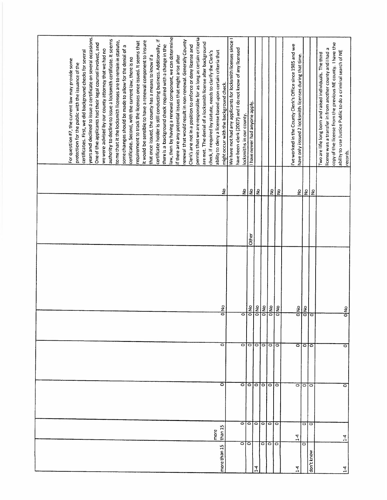|              |                 |                   |                   |                  |       |               | For question #7, the current law may provide some                 |
|--------------|-----------------|-------------------|-------------------|------------------|-------|---------------|-------------------------------------------------------------------|
|              |                 |                   |                   |                  |       |               | protection for the public with the issuance of the                |
|              |                 |                   |                   |                  |       |               | certificates. First, we did background checks for several         |
|              |                 |                   |                   |                  |       |               | years and declined to issue a certificate on several occasions.   |
|              |                 |                   |                   |                  |       |               | One of the applicants had their legal counsel involved, and       |
|              |                 |                   |                   |                  |       |               | we were advised by our county attorney that we had no             |
|              |                 |                   |                   |                  |       |               | authority to decline to issue a locksmith certificate. It seems   |
|              |                 |                   |                   |                  |       |               | to me that it the locksmith licenses are to remain in statute,    |
|              |                 |                   |                   |                  |       |               |                                                                   |
|              |                 |                   |                   |                  |       |               | some changes should be made to allow for the denial of a          |
|              |                 |                   |                   |                  |       |               | certificate. Second, with the current law, there is no            |
|              |                 |                   |                   |                  |       |               | requirement to track the licenses once issued. It seems that      |
|              |                 |                   |                   |                  |       |               | it would be sensible to have a renewal component to insure        |
|              |                 |                   |                   |                  |       |               | that once issued, the county has a means to know if a             |
|              |                 |                   |                   |                  |       |               | certificate holder is still conducting business. Additionally, if |
|              |                 |                   |                   |                  |       |               | there is a background check required with a change in the         |
|              |                 |                   |                   |                  |       |               | law, then by having a renewal component, we can determine         |
|              |                 |                   |                   |                  |       |               | if there are any potential issues that might arise after          |
|              |                 |                   |                   |                  |       |               | renewal that would result in non-renewal. Generally County        |
|              |                 |                   |                   |                  |       |               | Clerk's are not in a position to enforce or deny license and      |
|              |                 |                   |                   |                  |       |               |                                                                   |
|              |                 |                   |                   |                  |       |               | permits that we are responsible for as long as certain criteria   |
|              |                 |                   |                   |                  |       |               | are met. The denial of a locksmith license after background       |
|              |                 |                   |                   |                  |       |               | check, if required by statute, needs to clarify the Clerk's       |
|              | than 15<br>more |                   |                   |                  |       |               | ability to deny a license based upon certain criteria that        |
| more than 15 |                 | $\bar{\circ}$     | ō                 | olylo            |       | ş             | might occur with the background check.                            |
|              |                 |                   |                   |                  |       |               | We have not had any applicants for locksmith licenses since I     |
|              |                 |                   |                   |                  |       |               | have been clerk (2007) and I do not know of any licensed          |
|              | $\circ$ io      | $\circ$           | $\circ$           | ਠ                |       |               | locksmiths in our county.                                         |
|              |                 | $\circ$<br>ाननननन | $\circ$           | ol <sub>No</sub> | Other | <u>의 중</u>    | I have never had anyone apply.                                    |
| $\vec{A}$    |                 |                   |                   | olko             |       | $\frac{9}{2}$ |                                                                   |
|              | वावाव           | O[O]              | ानगान             | $\frac{1}{2}$    |       |               |                                                                   |
|              |                 |                   |                   | olyo             |       |               |                                                                   |
|              |                 | ö                 |                   | ollo             |       | $\frac{1}{2}$ |                                                                   |
|              |                 |                   |                   |                  |       |               |                                                                   |
| 4            | $\ddot{ }$      | $\circ$           | $\circ$           | ol No            |       |               | I've worked in the County Clerk's Office since 1985 and we        |
|              | O               |                   |                   | olkio            |       | 22            | have only issued 2 locksmith licenses during that time.           |
|              |                 | 1010<br>010       | $\circ$   $\circ$ |                  |       |               |                                                                   |
| don't know   |                 |                   |                   | $\circ$          |       | ls            |                                                                   |
|              |                 |                   |                   |                  |       |               | Two are life long born and raised individuals. The third          |
|              |                 |                   |                   |                  |       |               | license was a transfer in from another county and I had a         |
|              |                 |                   |                   |                  |       |               | copy of the license from the previous NE county. I have the       |
| $\vec{A}$    | $\frac{1}{4}$   | $\circ$           | $\circ$           | $\frac{5}{10}$   |       |               | ability to use Justice Public to do a criminal search of NE       |
|              |                 |                   |                   |                  |       |               | records.                                                          |
|              |                 |                   |                   |                  |       |               |                                                                   |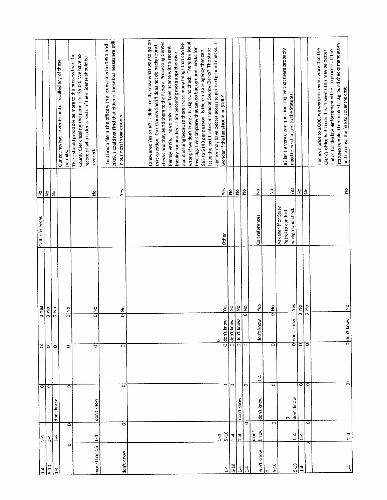|                              |                    |            |                    |                         |                      |                      | $\frac{1}{2}$           |                                                                                                                 |
|------------------------------|--------------------|------------|--------------------|-------------------------|----------------------|----------------------|-------------------------|-----------------------------------------------------------------------------------------------------------------|
| $1-4$                        | $1-4$              | वाव        |                    | $\circ$                 | $\frac{1}{\sqrt{1}}$ | Call references      |                         |                                                                                                                 |
| $5-10$                       |                    |            |                    | ō                       | $\frac{1}{\sqrt{2}}$ |                      | $\overline{\mathsf{S}}$ |                                                                                                                 |
| $1-4$                        | $\frac{1}{4}$      | don't know |                    | $\circ$                 | ol No                |                      | $\frac{1}{2}$           |                                                                                                                 |
|                              |                    |            |                    |                         |                      |                      |                         | Our county has never issued or recalled any of these                                                            |
| ਠ                            | ٥                  | o          |                    | $\circ$                 | olko                 |                      |                         | permits.                                                                                                        |
|                              |                    |            |                    |                         |                      |                      |                         | There should probably be more to the process than the<br>County Clerk issuing the permit for \$5.00. We have no |
|                              |                    |            |                    |                         |                      |                      |                         | record of who is deceased or if their license should be                                                         |
|                              |                    |            |                    |                         |                      |                      | ş                       | revoked.                                                                                                        |
| more than 15                 | $\frac{4}{1}$      | don't know |                    | 0                       | olNo                 |                      |                         |                                                                                                                 |
|                              |                    |            |                    |                         |                      |                      |                         | I did find a file in the office with a license filed in 1991 and                                                |
|                              |                    |            |                    |                         |                      |                      |                         | 2009. I could not find that either of these businesses are still                                                |
| don't know                   | $\overline{\circ}$ | ō          |                    | ਠ<br>$\overline{\circ}$ | $\frac{8}{2}$        |                      | Yes                     | in business in our county.                                                                                      |
|                              |                    |            |                    |                         |                      |                      |                         |                                                                                                                 |
|                              |                    |            |                    |                         |                      |                      |                         |                                                                                                                 |
|                              |                    |            |                    |                         |                      |                      |                         |                                                                                                                 |
|                              |                    |            |                    |                         |                      |                      |                         | I answered Yes on #7. I didn't really know what way to go on                                                    |
|                              |                    |            |                    |                         |                      |                      |                         | that question. Our County Sheriff does not do background                                                        |
|                              |                    |            |                    |                         |                      |                      |                         | checks and they send them to the Federal Processing Center                                                      |
|                              |                    |            |                    |                         |                      |                      |                         | Pennsylvania. I have only issued one license with a recent                                                      |
|                              |                    |            |                    |                         |                      |                      |                         | inquiry for another. I am becoming more apprehensive                                                            |
|                              |                    |            |                    |                         |                      |                      |                         | about issuing because there are so many things that can be                                                      |
|                              |                    |            |                    |                         |                      |                      |                         | wrong if we don't have a background check. There is a local                                                     |
|                              |                    |            |                    |                         |                      |                      |                         |                                                                                                                 |
|                              |                    |            |                    |                         |                      |                      |                         | investigative company that can do background checks for                                                         |
|                              |                    |            |                    |                         |                      |                      |                         | \$85 to \$140 per person. Is there a state agency that can                                                      |
|                              |                    |            |                    |                         |                      |                      |                         | issue the certificates instead of County Clerks? The state                                                      |
|                              | $1-4$              |            |                    | $\circ$                 |                      |                      |                         | agency may have better access to get background checks. I                                                       |
|                              | $5 - 10$           |            | o                  | O don't know            | Yes                  | Other                | Yes                     | wonder if the fee should be \$100?                                                                              |
| $\frac{1}{4}$ $\frac{5}{10}$ | $\overline{14}$    |            | $\circ$            | Odon't know             | $\frac{1}{2}$        |                      | $\frac{2}{2}$           |                                                                                                                 |
|                              |                    |            |                    |                         |                      |                      |                         |                                                                                                                 |
| $1-4$                        | $1-4$              | don't know |                    | 0 don't know            | $\frac{1}{2}$        |                      | $\frac{9}{2}$           |                                                                                                                 |
| $\overline{1}$               | ö                  |            | $\overline{\circ}$ |                         | $\frac{1}{2}$        |                      |                         |                                                                                                                 |
|                              | don't              |            |                    |                         |                      | Call references      | $\frac{1}{2}$           |                                                                                                                 |
| don't know                   | know               | don't know | $1-4$              | don't know              | Yes                  |                      |                         |                                                                                                                 |
| $\circ$                      |                    |            |                    |                         |                      |                      | ş                       |                                                                                                                 |
| $5-10$                       | $\bar{\circ}$      |            | $\circ$            | $\circ$                 | ollo                 |                      |                         |                                                                                                                 |
|                              |                    |            |                    |                         |                      | Ask sheriff or State |                         | #7 isn't a very clear question. I agree that there probably                                                     |
|                              |                    | $\circ$    |                    |                         |                      | Patrol to conduct    |                         |                                                                                                                 |
|                              | $1-4$              | don't know |                    | don't know              | Yes                  | background check     | Yes                     | need to be changes to the Statutes.                                                                             |
| $rac{510}{14}$               | $1-4$              |            | $\overline{\circ}$ | नन                      | $\frac{2}{5}$        |                      | $\frac{1}{2}$           |                                                                                                                 |
| $\overline{\circ}$           | $\circ$            |            | ∣○                 | ा                       |                      |                      | $\frac{1}{2}$           |                                                                                                                 |
|                              |                    |            |                    |                         |                      |                      |                         |                                                                                                                 |
|                              |                    |            |                    |                         |                      |                      |                         | I believe prior to 2008, we were not even aware that the                                                        |
|                              |                    |            |                    |                         |                      |                      |                         | Clerk's office had to do this. It seems this may be better                                                      |
|                              |                    |            |                    |                         |                      |                      |                         | suited for the law enforcement offices to process. If the                                                       |
|                              |                    |            |                    |                         |                      |                      |                         | statutes remain, then make background checks mandatory                                                          |
|                              |                    |            | $\overline{\circ}$ | O don't know            | $rac{1}{2}$          |                      | $\frac{1}{2}$           | and increase the fee to cover the cost.                                                                         |
| $1-4$                        | $1 - 4$            |            |                    |                         |                      |                      |                         |                                                                                                                 |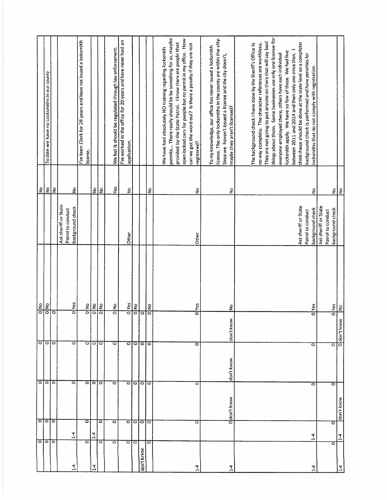|                      | ाञ            | ਰ               |                             |                    | ollo                    |                                           | $\frac{8}{5}$                   |                                                                 |
|----------------------|---------------|-----------------|-----------------------------|--------------------|-------------------------|-------------------------------------------|---------------------------------|-----------------------------------------------------------------|
|                      |               | ం∣ం             | ननन                         | 000                | ol No                   |                                           | $ \epsilon $                    | To date we have no Locksmiths in our county                     |
| ⇔                    |               |                 |                             |                    | ठ                       |                                           | Ιă                              |                                                                 |
|                      |               |                 |                             |                    |                         | Ask sheriff or State<br>Patrol to conduct |                                 |                                                                 |
| $\frac{1}{4}$        | $1-4$         |                 | ठ                           | $\overline{\circ}$ | olves                   | background check                          | $\mathsf{S}$                    |                                                                 |
| $\circ$              |               | $\circ$         |                             |                    |                         |                                           |                                 | I've been Clerk for 28 years and have not issued a locksmith    |
|                      | $1-4$         |                 | ानन                         | $\circ$            | olup<br>$rac{1}{2}$     |                                           |                                 | license.                                                        |
| 4                    |               |                 |                             | $\circ$            |                         |                                           | $rac{9}{2}$                     |                                                                 |
| 0                    |               | Ö               |                             | $\circ$            | olvo                    |                                           |                                 |                                                                 |
| $\ddot{\phantom{1}}$ |               | ಠ               | $\overline{\circ}$          | $\circ$            | oldo                    |                                           | Yes                             | We feel it should be regulated through law enforcement.         |
|                      |               |                 |                             |                    |                         |                                           |                                 | I've worked in the office for 20 years and have never had an    |
| 010                  |               |                 |                             | $\circ$            | <b>D</b> <sup>Yes</sup> | Other                                     | $\frac{\mathsf{o}}{\mathsf{z}}$ | application.                                                    |
|                      |               |                 |                             |                    | ollo                    |                                           |                                 |                                                                 |
| don't know           |               | ननगढ            | $\circ$   $\circ$   $\circ$ | ानग                | Ιō                      |                                           |                                 |                                                                 |
| $\overline{\circ}$   |               |                 |                             |                    | ollo                    |                                           | ş                               |                                                                 |
|                      |               |                 |                             |                    |                         |                                           |                                 |                                                                 |
|                      |               |                 |                             |                    |                         |                                           |                                 | We have had absolutely NO training regarding locksmith          |
|                      |               |                 |                             |                    |                         |                                           |                                 | permits There really should be be something for us, maybe       |
|                      |               |                 |                             |                    |                         |                                           |                                 | provided by the State Patrol. I know there are people that      |
|                      |               |                 |                             |                    |                         |                                           |                                 | open locked cars for people but no permit in my office. How     |
|                      |               |                 |                             |                    |                         |                                           |                                 | can we get the word out? Is there a penalty if they are not     |
| 7                    |               | ۰               | $\bar{\circ}$               | ō                  | 0 <sup>l</sup> Yes      | Other                                     | $\frac{1}{2}$                   | registered?                                                     |
|                      |               |                 |                             |                    |                         |                                           |                                 |                                                                 |
|                      |               |                 |                             |                    |                         |                                           |                                 | To my knowledge, our office has never issued a locksmith        |
|                      |               |                 |                             |                    |                         |                                           |                                 | license. The only locksmiths in the county are within the city. |
|                      |               |                 |                             |                    |                         |                                           |                                 | Since we haven't issued a license and the city doesn't,         |
| 14                   |               | don't know<br>۰ | don't know                  | don't knov         | ş                       |                                           | ş                               | maybe they aren't licensed?                                     |
|                      |               |                 |                             |                    |                         |                                           |                                 |                                                                 |
|                      |               |                 |                             |                    |                         |                                           |                                 | The background check I have done by the Sheriff's Office is     |
|                      |               |                 |                             |                    |                         |                                           |                                 | no way complete. The character references are worthless.        |
|                      |               |                 |                             |                    |                         |                                           |                                 | They are not going to put anyone on there that will say bad     |
|                      |               |                 |                             |                    |                         |                                           |                                 | things about them. Some businesses use only one license for     |
|                      |               |                 |                             |                    |                         |                                           |                                 |                                                                 |
|                      |               |                 |                             |                    |                         |                                           |                                 | everyone employed there, others have each individual            |
|                      |               |                 |                             |                    |                         |                                           |                                 | locksmith apply. We have so few of these. We had five           |
|                      |               |                 |                             |                    |                         |                                           |                                 | between 2011 and 2014 and then only one since then. I           |
|                      |               |                 |                             |                    |                         | Ask sheriff or State                      |                                 | think these should be done at the state level so a complete     |
|                      |               |                 |                             |                    |                         | Patrol to conduct                         |                                 | background check is performed and have penalties for            |
| $\vec{A}$            | $\frac{1}{4}$ |                 | 0                           | $\circ$            | <b>O</b>  Yes           | background check                          | ş                               | locksmiths that do not comply with registration.                |
|                      |               |                 |                             |                    |                         | Ask sheriff or State                      |                                 |                                                                 |
|                      |               |                 |                             |                    |                         | Patrol to conduct                         |                                 |                                                                 |
| Ó                    |               | Ó               | ٥<br>0                      |                    | o Yes                   | background check                          |                                 |                                                                 |
| $\frac{1}{4}$        | $\frac{4}{1}$ | don't know      |                             | O don't know       | $rac{6}{5}$             |                                           | <u>의의</u>                       |                                                                 |
|                      |               |                 |                             |                    |                         |                                           |                                 |                                                                 |